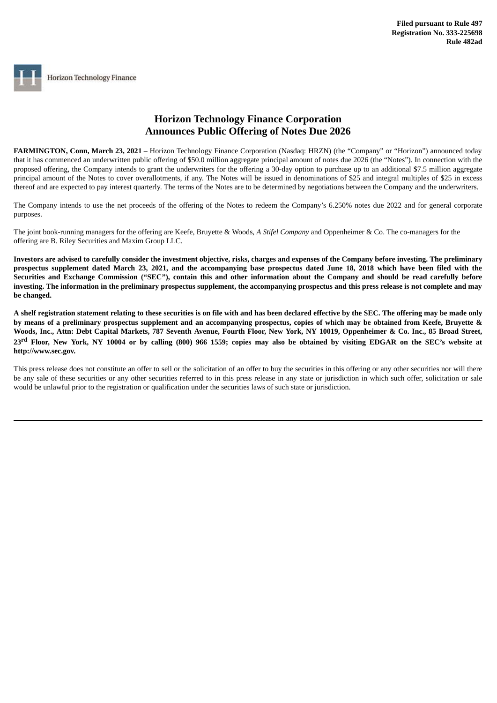## **Horizon Technology Finance Corporation Announces Public Offering of Notes Due 2026**

**FARMINGTON, Conn, March 23, 2021** – Horizon Technology Finance Corporation (Nasdaq: HRZN) (the "Company" or "Horizon") announced today that it has commenced an underwritten public offering of \$50.0 million aggregate principal amount of notes due 2026 (the "Notes"). In connection with the proposed offering, the Company intends to grant the underwriters for the offering a 30-day option to purchase up to an additional \$7.5 million aggregate principal amount of the Notes to cover overallotments, if any. The Notes will be issued in denominations of \$25 and integral multiples of \$25 in excess thereof and are expected to pay interest quarterly. The terms of the Notes are to be determined by negotiations between the Company and the underwriters.

The Company intends to use the net proceeds of the offering of the Notes to redeem the Company's 6.250% notes due 2022 and for general corporate purposes.

The joint book-running managers for the offering are Keefe, Bruyette & Woods, *A Stifel Company* and Oppenheimer & Co. The co-managers for the offering are B. Riley Securities and Maxim Group LLC.

Investors are advised to carefully consider the investment objective, risks, charges and expenses of the Company before investing. The preliminary prospectus supplement dated March 23, 2021, and the accompanying base prospectus dated June 18, 2018 which have been filed with the Securities and Exchange Commission ("SEC"), contain this and other information about the Company and should be read carefully before investing. The information in the preliminary prospectus supplement, the accompanying prospectus and this press release is not complete and may **be changed.**

A shelf registration statement relating to these securities is on file with and has been declared effective by the SEC. The offering may be made only by means of a preliminary prospectus supplement and an accompanying prospectus, copies of which may be obtained from Keefe, Bruyette & Woods, Inc., Attn: Debt Capital Markets, 787 Seventh Avenue, Fourth Floor, New York, NY 10019, Oppenheimer & Co. Inc., 85 Broad Street, 23<sup>rd</sup> Floor, New York, NY 10004 or by calling (800) 966 1559; copies may also be obtained by visiting EDGAR on the SEC's website at **http://www.sec.gov.**

This press release does not constitute an offer to sell or the solicitation of an offer to buy the securities in this offering or any other securities nor will there be any sale of these securities or any other securities referred to in this press release in any state or jurisdiction in which such offer, solicitation or sale would be unlawful prior to the registration or qualification under the securities laws of such state or jurisdiction.